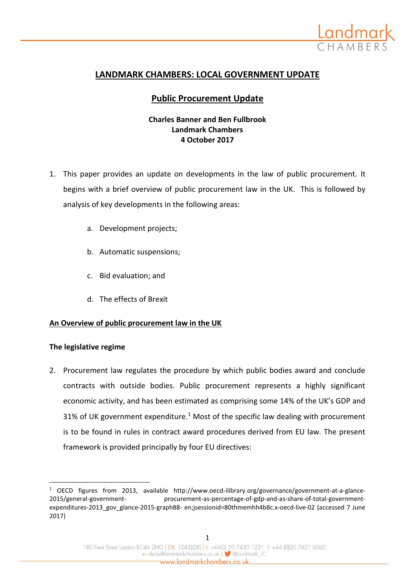

# **LANDMARK CHAMBERS: LOCAL GOVERNMENT UPDATE**

## **Public Procurement Update**

## **Charles Banner and Ben Fullbrook Landmark Chambers 4 October 2017**

- 1. This paper provides an update on developments in the law of public procurement. It begins with a brief overview of public procurement law in the UK. This is followed by analysis of key developments in the following areas:
	- a. Development projects;
	- b. Automatic suspensions;
	- c. Bid evaluation; and
	- d. The effects of Brexit

### **An Overview of public procurement law in the UK**

#### **The legislative regime**

 $\overline{\phantom{a}}$ 

2. Procurement law regulates the procedure by which public bodies award and conclude contracts with outside bodies. Public procurement represents a highly significant economic activity, and has been estimated as comprising some 14% of the UK's GDP and 31% of UK government expenditure.<sup>1</sup> Most of the specific law dealing with procurement is to be found in rules in contract award procedures derived from EU law. The present framework is provided principally by four EU directives:

 $1$  OECD figures from 2013, available http://www.oecd-ilibrary.org/governance/government-at-a-glance-2015/general-government- procurement-as-percentage-of-gdp-and-as-share-of-total-governmentexpenditures-2013\_gov\_glance-2015-graph88- en;jsessionid=80thmemhh4b8c.x-oecd-live-02 (accessed 7 June 2017)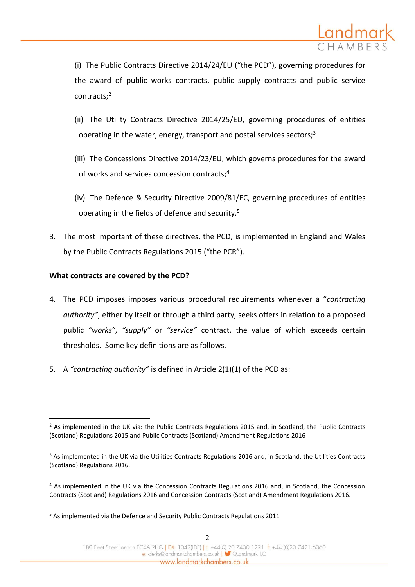

(i) The Public Contracts Directive 2014/24/EU ("the PCD"), governing procedures for the award of public works contracts, public supply contracts and public service contracts;<sup>2</sup>

- (ii) The Utility Contracts Directive 2014/25/EU, governing procedures of entities operating in the water, energy, transport and postal services sectors;<sup>3</sup>
- (iii) The Concessions Directive 2014/23/EU, which governs procedures for the award of works and services concession contracts;<sup>4</sup>
- (iv) The Defence & Security Directive 2009/81/EC, governing procedures of entities operating in the fields of defence and security.<sup>5</sup>
- 3. The most important of these directives, the PCD, is implemented in England and Wales by the Public Contracts Regulations 2015 ("the PCR").

### **What contracts are covered by the PCD?**

 $\overline{\phantom{a}}$ 

- 4. The PCD imposes imposes various procedural requirements whenever a "*contracting authority"*, either by itself or through a third party, seeks offers in relation to a proposed public *"works"*, *"supply"* or *"service"* contract, the value of which exceeds certain thresholds. Some key definitions are as follows.
- 5. A *"contracting authority"* is defined in Article 2(1)(1) of the PCD as:

<sup>&</sup>lt;sup>2</sup> As implemented in the UK via: the Public Contracts Regulations 2015 and, in Scotland, the Public Contracts (Scotland) Regulations 2015 and Public Contracts (Scotland) Amendment Regulations 2016

<sup>&</sup>lt;sup>3</sup> As implemented in the UK via the Utilities Contracts Regulations 2016 and, in Scotland, the Utilities Contracts (Scotland) Regulations 2016.

<sup>4</sup> As implemented in the UK via the Concession Contracts Regulations 2016 and, in Scotland, the Concession Contracts (Scotland) Regulations 2016 and Concession Contracts (Scotland) Amendment Regulations 2016.

<sup>5</sup> As implemented via the Defence and Security Public Contracts Regulations 2011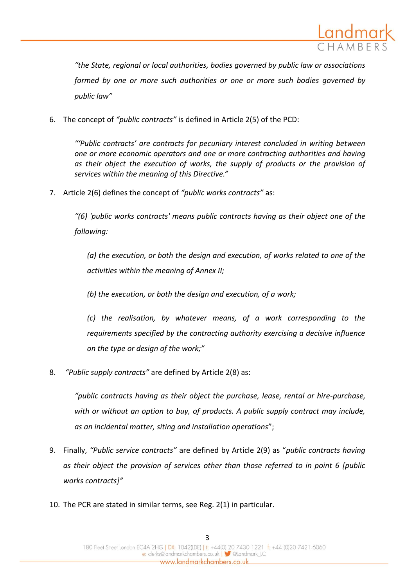

*"the State, regional or local authorities, bodies governed by public law or associations formed by one or more such authorities or one or more such bodies governed by public law"*

6. The concept of *"public contracts"* is defined in Article 2(5) of the PCD:

*"'Public contracts' are contracts for pecuniary interest concluded in writing between one or more economic operators and one or more contracting authorities and having as their object the execution of works, the supply of products or the provision of services within the meaning of this Directive."*

7. Article 2(6) defines the concept of *"public works contracts"* as:

*"(6) 'public works contracts' means public contracts having as their object one of the following:*

*(a) the execution, or both the design and execution, of works related to one of the activities within the meaning of Annex II;*

*(b) the execution, or both the design and execution, of a work;*

*(c) the realisation, by whatever means, of a work corresponding to the requirements specified by the contracting authority exercising a decisive influence on the type or design of the work;"*

8. *"Public supply contracts"* are defined by Article 2(8) as:

*"public contracts having as their object the purchase, lease, rental or hire-purchase, with or without an option to buy, of products. A public supply contract may include, as an incidental matter, siting and installation operations*";

- 9. Finally, *"Public service contracts"* are defined by Article 2(9) as "*public contracts having as their object the provision of services other than those referred to in point 6 [public works contracts]"*
- 10. The PCR are stated in similar terms, see Reg. 2(1) in particular.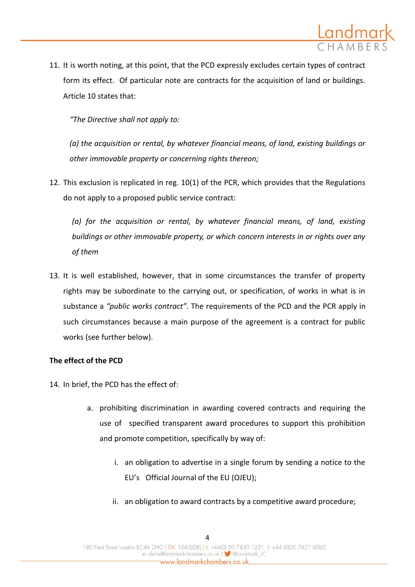

11. It is worth noting, at this point, that the PCD expressly excludes certain types of contract form its effect. Of particular note are contracts for the acquisition of land or buildings. Article 10 states that:

*"The Directive shall not apply to:*

*(a) the acquisition or rental, by whatever financial means, of land, existing buildings or other immovable property or concerning rights thereon;*

12. This exclusion is replicated in reg. 10(1) of the PCR, which provides that the Regulations do not apply to a proposed public service contract:

*(a) for the acquisition or rental, by whatever financial means, of land, existing buildings or other immovable property, or which concern interests in or rights over any of them*

13. It is well established, however, that in some circumstances the transfer of property rights may be subordinate to the carrying out, or specification, of works in what is in substance a *"public works contract"*. The requirements of the PCD and the PCR apply in such circumstances because a main purpose of the agreement is a contract for public works (see further below).

### **The effect of the PCD**

- 14. In brief, the PCD has the effect of:
	- a. prohibiting discrimination in awarding covered contracts and requiring the use of specified transparent award procedures to support this prohibition and promote competition, specifically by way of:
		- i. an obligation to advertise in a single forum by sending a notice to the EU's Official Journal of the EU (OJEU);
		- ii. an obligation to award contracts by a competitive award procedure;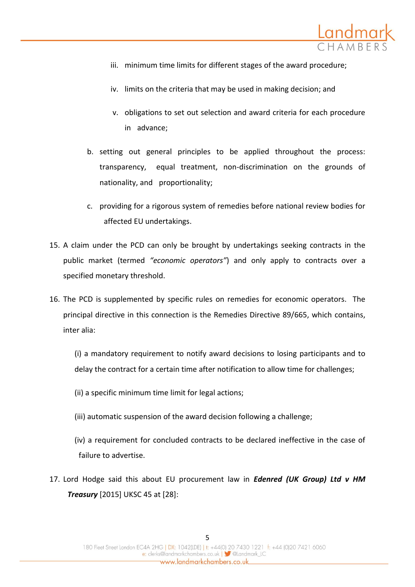

- iii. minimum time limits for different stages of the award procedure;
- iv. limits on the criteria that may be used in making decision; and
- v. obligations to set out selection and award criteria for each procedure in advance;
- b. setting out general principles to be applied throughout the process: transparency, equal treatment, non-discrimination on the grounds of nationality, and proportionality;
- c. providing for a rigorous system of remedies before national review bodies for affected EU undertakings.
- 15. A claim under the PCD can only be brought by undertakings seeking contracts in the public market (termed *"economic operators"*) and only apply to contracts over a specified monetary threshold.
- 16. The PCD is supplemented by specific rules on remedies for economic operators. The principal directive in this connection is the Remedies Directive 89/665, which contains, inter alia:

(i) a mandatory requirement to notify award decisions to losing participants and to delay the contract for a certain time after notification to allow time for challenges;

- (ii) a specific minimum time limit for legal actions;
- (iii) automatic suspension of the award decision following a challenge;
- (iv) a requirement for concluded contracts to be declared ineffective in the case of failure to advertise.
- 17. Lord Hodge said this about EU procurement law in *Edenred (UK Group) Ltd v HM Treasury* [2015] UKSC 45 at [28]: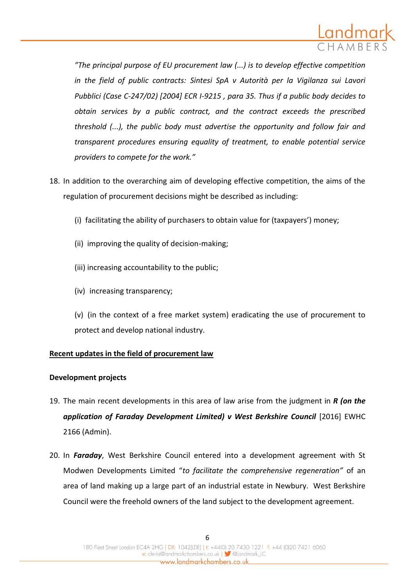

*"The principal purpose of EU procurement law (...) is to develop effective competition in the field of public contracts: Sintesi SpA v Autorità per la Vigilanza sui Lavori Pubblici (Case C-247/02) [2004] ECR I-9215 , para 35. Thus if a public body decides to obtain services by a public contract, and the contract exceeds the prescribed threshold (...), the public body must advertise the opportunity and follow fair and transparent procedures ensuring equality of treatment, to enable potential service providers to compete for the work."*

- 18. In addition to the overarching aim of developing effective competition, the aims of the regulation of procurement decisions might be described as including:
	- (i) facilitating the ability of purchasers to obtain value for (taxpayers') money;
	- (ii) improving the quality of decision-making;
	- (iii) increasing accountability to the public;
	- (iv) increasing transparency;

(v) (in the context of a free market system) eradicating the use of procurement to protect and develop national industry.

### **Recent updates in the field of procurement law**

### **Development projects**

- 19. The main recent developments in this area of law arise from the judgment in *R (on the application of Faraday Development Limited) v West Berkshire Council* [2016] EWHC 2166 (Admin).
- 20. In *Faraday*, West Berkshire Council entered into a development agreement with St Modwen Developments Limited "*to facilitate the comprehensive regeneration"* of an area of land making up a large part of an industrial estate in Newbury. West Berkshire Council were the freehold owners of the land subject to the development agreement.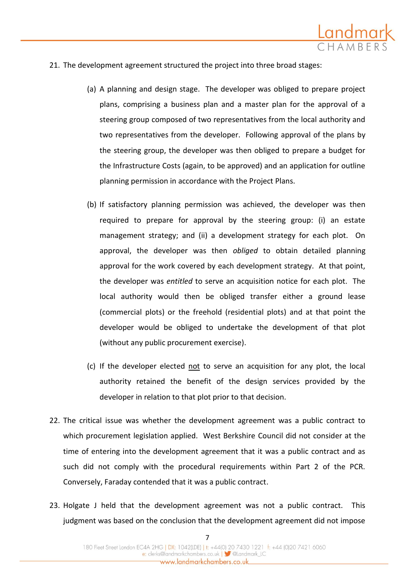

- 21. The development agreement structured the project into three broad stages:
	- (a) A planning and design stage. The developer was obliged to prepare project plans, comprising a business plan and a master plan for the approval of a steering group composed of two representatives from the local authority and two representatives from the developer. Following approval of the plans by the steering group, the developer was then obliged to prepare a budget for the Infrastructure Costs (again, to be approved) and an application for outline planning permission in accordance with the Project Plans.
	- (b) If satisfactory planning permission was achieved, the developer was then required to prepare for approval by the steering group: (i) an estate management strategy; and (ii) a development strategy for each plot. On approval, the developer was then *obliged* to obtain detailed planning approval for the work covered by each development strategy. At that point, the developer was *entitled* to serve an acquisition notice for each plot. The local authority would then be obliged transfer either a ground lease (commercial plots) or the freehold (residential plots) and at that point the developer would be obliged to undertake the development of that plot (without any public procurement exercise).
	- (c) If the developer elected not to serve an acquisition for any plot, the local authority retained the benefit of the design services provided by the developer in relation to that plot prior to that decision.
- 22. The critical issue was whether the development agreement was a public contract to which procurement legislation applied. West Berkshire Council did not consider at the time of entering into the development agreement that it was a public contract and as such did not comply with the procedural requirements within Part 2 of the PCR. Conversely, Faraday contended that it was a public contract.
- 23. Holgate J held that the development agreement was not a public contract. This judgment was based on the conclusion that the development agreement did not impose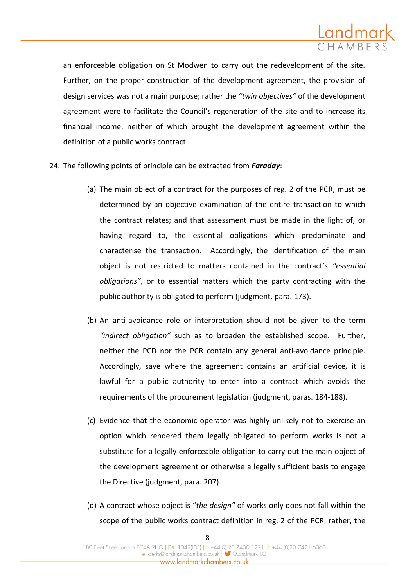

an enforceable obligation on St Modwen to carry out the redevelopment of the site. Further, on the proper construction of the development agreement, the provision of design services was not a main purpose; rather the *"twin objectives"* of the development agreement were to facilitate the Council's regeneration of the site and to increase its financial income, neither of which brought the development agreement within the definition of a public works contract.

- 24. The following points of principle can be extracted from *Faraday*:
	- (a) The main object of a contract for the purposes of reg. 2 of the PCR, must be determined by an objective examination of the entire transaction to which the contract relates; and that assessment must be made in the light of, or having regard to, the essential obligations which predominate and characterise the transaction. Accordingly, the identification of the main object is not restricted to matters contained in the contract's *"essential obligations"*, or to essential matters which the party contracting with the public authority is obligated to perform (judgment, para. 173).
	- (b) An anti-avoidance role or interpretation should not be given to the term *"indirect obligation"* such as to broaden the established scope. Further, neither the PCD nor the PCR contain any general anti-avoidance principle. Accordingly, save where the agreement contains an artificial device, it is lawful for a public authority to enter into a contract which avoids the requirements of the procurement legislation (judgment, paras. 184-188).
	- (c) Evidence that the economic operator was highly unlikely not to exercise an option which rendered them legally obligated to perform works is not a substitute for a legally enforceable obligation to carry out the main object of the development agreement or otherwise a legally sufficient basis to engage the Directive (judgment, para. 207).
	- (d) A contract whose object is "*the design"* of works only does not fall within the scope of the public works contract definition in reg. 2 of the PCR; rather, the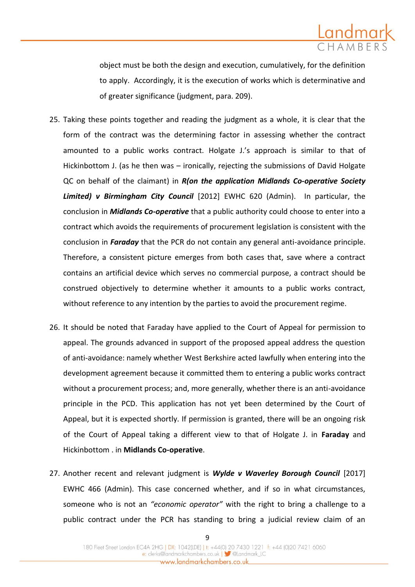

object must be both the design and execution, cumulatively, for the definition to apply. Accordingly, it is the execution of works which is determinative and of greater significance (judgment, para. 209).

- 25. Taking these points together and reading the judgment as a whole, it is clear that the form of the contract was the determining factor in assessing whether the contract amounted to a public works contract. Holgate J.'s approach is similar to that of Hickinbottom J. (as he then was – ironically, rejecting the submissions of David Holgate QC on behalf of the claimant) in *R(on the application Midlands Co-operative Society Limited) v Birmingham City Council* [2012] EWHC 620 (Admin). In particular, the conclusion in *Midlands Co-operative* that a public authority could choose to enter into a contract which avoids the requirements of procurement legislation is consistent with the conclusion in *Faraday* that the PCR do not contain any general anti-avoidance principle. Therefore, a consistent picture emerges from both cases that, save where a contract contains an artificial device which serves no commercial purpose, a contract should be construed objectively to determine whether it amounts to a public works contract, without reference to any intention by the parties to avoid the procurement regime.
- 26. It should be noted that Faraday have applied to the Court of Appeal for permission to appeal. The grounds advanced in support of the proposed appeal address the question of anti-avoidance: namely whether West Berkshire acted lawfully when entering into the development agreement because it committed them to entering a public works contract without a procurement process; and, more generally, whether there is an anti-avoidance principle in the PCD. This application has not yet been determined by the Court of Appeal, but it is expected shortly. If permission is granted, there will be an ongoing risk of the Court of Appeal taking a different view to that of Holgate J. in **Faraday** and Hickinbottom . in **Midlands Co-operative**.
- 27. Another recent and relevant judgment is *Wylde v Waverley Borough Council* [2017] EWHC 466 (Admin). This case concerned whether, and if so in what circumstances, someone who is not an *"economic operator"* with the right to bring a challenge to a public contract under the PCR has standing to bring a judicial review claim of an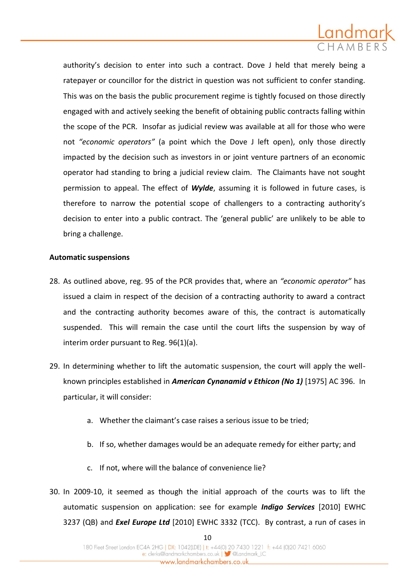

authority's decision to enter into such a contract. Dove J held that merely being a ratepayer or councillor for the district in question was not sufficient to confer standing. This was on the basis the public procurement regime is tightly focused on those directly engaged with and actively seeking the benefit of obtaining public contracts falling within the scope of the PCR. Insofar as judicial review was available at all for those who were not *"economic operators"* (a point which the Dove J left open), only those directly impacted by the decision such as investors in or joint venture partners of an economic operator had standing to bring a judicial review claim. The Claimants have not sought permission to appeal. The effect of *Wylde*, assuming it is followed in future cases, is therefore to narrow the potential scope of challengers to a contracting authority's decision to enter into a public contract. The 'general public' are unlikely to be able to bring a challenge.

### **Automatic suspensions**

- 28. As outlined above, reg. 95 of the PCR provides that, where an *"economic operator"* has issued a claim in respect of the decision of a contracting authority to award a contract and the contracting authority becomes aware of this, the contract is automatically suspended. This will remain the case until the court lifts the suspension by way of interim order pursuant to Reg. 96(1)(a).
- 29. In determining whether to lift the automatic suspension, the court will apply the wellknown principles established in *American Cynanamid v Ethicon (No 1)* [1975] AC 396. In particular, it will consider:
	- a. Whether the claimant's case raises a serious issue to be tried;
	- b. If so, whether damages would be an adequate remedy for either party; and
	- c. If not, where will the balance of convenience lie?
- 30. In 2009-10, it seemed as though the initial approach of the courts was to lift the automatic suspension on application: see for example *Indigo Services* [2010] EWHC 3237 (QB) and *Exel Europe Ltd* [2010] EWHC 3332 (TCC). By contrast, a run of cases in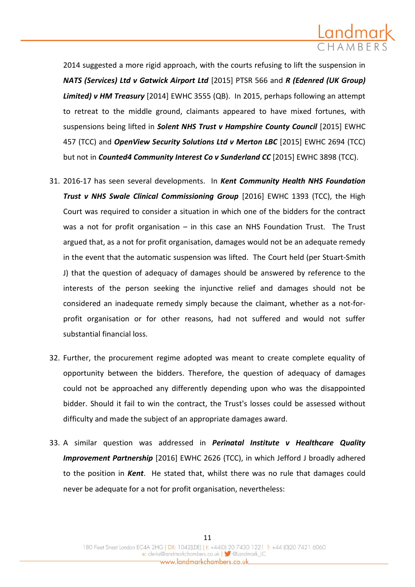

2014 suggested a more rigid approach, with the courts refusing to lift the suspension in *NATS (Services) Ltd v Gatwick Airport Ltd* [2015] PTSR 566 and *R (Edenred (UK Group) Limited) v HM Treasury* [2014] EWHC 3555 (QB). In 2015, perhaps following an attempt to retreat to the middle ground, claimants appeared to have mixed fortunes, with suspensions being lifted in *Solent NHS Trust v Hampshire County Council* [2015] EWHC 457 (TCC) and *OpenView Security Solutions Ltd v Merton LBC* [2015] EWHC 2694 (TCC) but not in *Counted4 Community Interest Co v Sunderland CC* [2015] EWHC 3898 (TCC).

- 31. 2016-17 has seen several developments. In *Kent Community Health NHS Foundation*  **Trust v NHS Swale Clinical Commissioning Group** [2016] EWHC 1393 (TCC), the High Court was required to consider a situation in which one of the bidders for the contract was a not for profit organisation – in this case an NHS Foundation Trust. The Trust argued that, as a not for profit organisation, damages would not be an adequate remedy in the event that the automatic suspension was lifted. The Court held (per Stuart-Smith J) that the question of adequacy of damages should be answered by reference to the interests of the person seeking the injunctive relief and damages should not be considered an inadequate remedy simply because the claimant, whether as a not-forprofit organisation or for other reasons, had not suffered and would not suffer substantial financial loss.
- 32. Further, the procurement regime adopted was meant to create complete equality of opportunity between the bidders. Therefore, the question of adequacy of damages could not be approached any differently depending upon who was the disappointed bidder. Should it fail to win the contract, the Trust's losses could be assessed without difficulty and made the subject of an appropriate damages award.
- 33. A similar question was addressed in *Perinatal Institute v Healthcare Quality Improvement Partnership* [2016] EWHC 2626 (TCC), in which Jefford J broadly adhered to the position in *Kent*. He stated that, whilst there was no rule that damages could never be adequate for a not for profit organisation, nevertheless: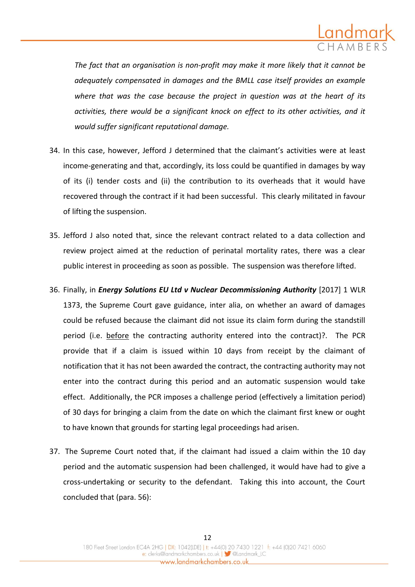

*The fact that an organisation is non-profit may make it more likely that it cannot be adequately compensated in damages and the BMLL case itself provides an example where that was the case because the project in question was at the heart of its activities, there would be a significant knock on effect to its other activities, and it would suffer significant reputational damage.*

- 34. In this case, however, Jefford J determined that the claimant's activities were at least income-generating and that, accordingly, its loss could be quantified in damages by way of its (i) tender costs and (ii) the contribution to its overheads that it would have recovered through the contract if it had been successful. This clearly militated in favour of lifting the suspension.
- 35. Jefford J also noted that, since the relevant contract related to a data collection and review project aimed at the reduction of perinatal mortality rates, there was a clear public interest in proceeding as soon as possible. The suspension was therefore lifted.
- 36. Finally, in *Energy Solutions EU Ltd v Nuclear Decommissioning Authority* [2017] 1 WLR 1373, the Supreme Court gave guidance, inter alia, on whether an award of damages could be refused because the claimant did not issue its claim form during the standstill period (i.e. before the contracting authority entered into the contract)?. The PCR provide that if a claim is issued within 10 days from receipt by the claimant of notification that it has not been awarded the contract, the contracting authority may not enter into the contract during this period and an automatic suspension would take effect. Additionally, the PCR imposes a challenge period (effectively a limitation period) of 30 days for bringing a claim from the date on which the claimant first knew or ought to have known that grounds for starting legal proceedings had arisen.
- 37. The Supreme Court noted that, if the claimant had issued a claim within the 10 day period and the automatic suspension had been challenged, it would have had to give a cross-undertaking or security to the defendant. Taking this into account, the Court concluded that (para. 56):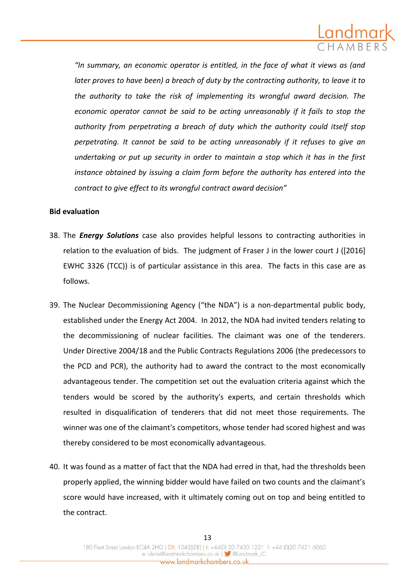

*"In summary, an economic operator is entitled, in the face of what it views as (and later proves to have been) a breach of duty by the contracting authority, to leave it to the authority to take the risk of implementing its wrongful award decision. The economic operator cannot be said to be acting unreasonably if it fails to stop the authority from perpetrating a breach of duty which the authority could itself stop perpetrating. It cannot be said to be acting unreasonably if it refuses to give an undertaking or put up security in order to maintain a stop which it has in the first instance obtained by issuing a claim form before the authority has entered into the contract to give effect to its wrongful contract award decision"*

#### **Bid evaluation**

- 38. The *Energy Solutions* case also provides helpful lessons to contracting authorities in relation to the evaluation of bids. The judgment of Fraser J in the lower court J ([2016] EWHC 3326 (TCC)) is of particular assistance in this area. The facts in this case are as follows.
- 39. The Nuclear Decommissioning Agency ("the NDA") is a non-departmental public body, established under the Energy Act 2004. In 2012, the NDA had invited tenders relating to the decommissioning of nuclear facilities. The claimant was one of the tenderers. Under Directive 2004/18 and the Public Contracts Regulations 2006 (the predecessors to the PCD and PCR), the authority had to award the contract to the most economically advantageous tender. The competition set out the evaluation criteria against which the tenders would be scored by the authority's experts, and certain thresholds which resulted in disqualification of tenderers that did not meet those requirements. The winner was one of the claimant's competitors, whose tender had scored highest and was thereby considered to be most economically advantageous.
- 40. It was found as a matter of fact that the NDA had erred in that, had the thresholds been properly applied, the winning bidder would have failed on two counts and the claimant's score would have increased, with it ultimately coming out on top and being entitled to the contract.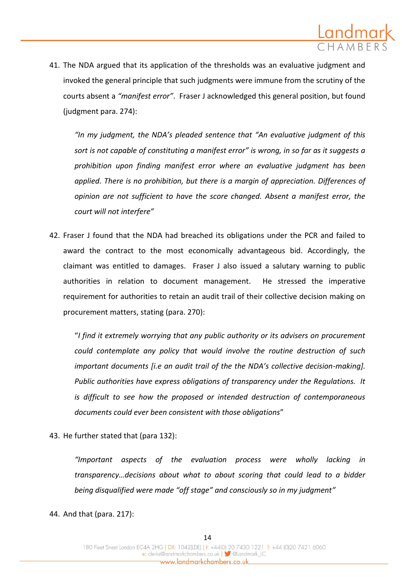

41. The NDA argued that its application of the thresholds was an evaluative judgment and invoked the general principle that such judgments were immune from the scrutiny of the courts absent a *"manifest error"*. Fraser J acknowledged this general position, but found (judgment para. 274):

*"In my judgment, the NDA's pleaded sentence that "An evaluative judgment of this sort is not capable of constituting a manifest error" is wrong, in so far as it suggests a prohibition upon finding manifest error where an evaluative judgment has been applied. There is no prohibition, but there is a margin of appreciation. Differences of opinion are not sufficient to have the score changed. Absent a manifest error, the court will not interfere"* 

42. Fraser J found that the NDA had breached its obligations under the PCR and failed to award the contract to the most economically advantageous bid. Accordingly, the claimant was entitled to damages. Fraser J also issued a salutary warning to public authorities in relation to document management. He stressed the imperative requirement for authorities to retain an audit trail of their collective decision making on procurement matters, stating (para. 270):

"*I find it extremely worrying that any public authority or its advisers on procurement could contemplate any policy that would involve the routine destruction of such important documents [i.e an audit trail of the the NDA's collective decision-making]. Public authorities have express obligations of transparency under the Regulations. It is difficult to see how the proposed or intended destruction of contemporaneous documents could ever been consistent with those obligations*"

43. He further stated that (para 132):

*"Important aspects of the evaluation process were wholly lacking in transparency…decisions about what to about scoring that could lead to a bidder being disqualified were made "off stage" and consciously so in my judgment"*

44. And that (para. 217):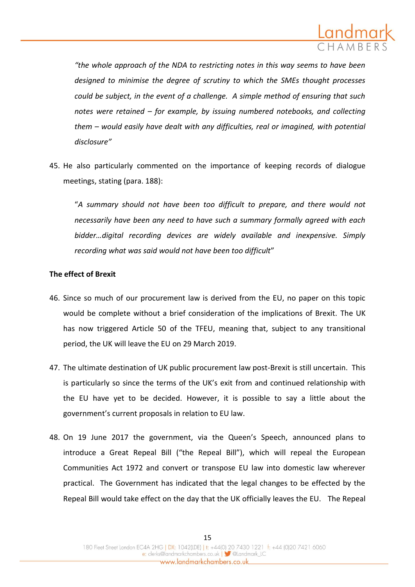

*"the whole approach of the NDA to restricting notes in this way seems to have been designed to minimise the degree of scrutiny to which the SMEs thought processes could be subject, in the event of a challenge. A simple method of ensuring that such notes were retained – for example, by issuing numbered notebooks, and collecting them – would easily have dealt with any difficulties, real or imagined, with potential disclosure"*

45. He also particularly commented on the importance of keeping records of dialogue meetings, stating (para. 188):

"*A summary should not have been too difficult to prepare, and there would not necessarily have been any need to have such a summary formally agreed with each bidder…digital recording devices are widely available and inexpensive. Simply recording what was said would not have been too difficult*"

### **The effect of Brexit**

- 46. Since so much of our procurement law is derived from the EU, no paper on this topic would be complete without a brief consideration of the implications of Brexit. The UK has now triggered Article 50 of the TFEU, meaning that, subject to any transitional period, the UK will leave the EU on 29 March 2019.
- 47. The ultimate destination of UK public procurement law post-Brexit is still uncertain. This is particularly so since the terms of the UK's exit from and continued relationship with the EU have yet to be decided. However, it is possible to say a little about the government's current proposals in relation to EU law.
- 48. On 19 June 2017 the government, via the Queen's Speech, announced plans to introduce a Great Repeal Bill ("the Repeal Bill"), which will repeal the European Communities Act 1972 and convert or transpose EU law into domestic law wherever practical. The Government has indicated that the legal changes to be effected by the Repeal Bill would take effect on the day that the UK officially leaves the EU. The Repeal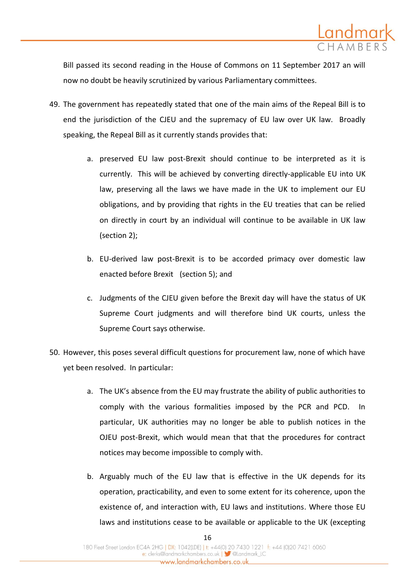

Bill passed its second reading in the House of Commons on 11 September 2017 an will now no doubt be heavily scrutinized by various Parliamentary committees.

- 49. The government has repeatedly stated that one of the main aims of the Repeal Bill is to end the jurisdiction of the CJEU and the supremacy of EU law over UK law. Broadly speaking, the Repeal Bill as it currently stands provides that:
	- a. preserved EU law post-Brexit should continue to be interpreted as it is currently. This will be achieved by converting directly-applicable EU into UK law, preserving all the laws we have made in the UK to implement our EU obligations, and by providing that rights in the EU treaties that can be relied on directly in court by an individual will continue to be available in UK law (section 2);
	- b. EU-derived law post-Brexit is to be accorded primacy over domestic law enacted before Brexit (section 5); and
	- c. Judgments of the CJEU given before the Brexit day will have the status of UK Supreme Court judgments and will therefore bind UK courts, unless the Supreme Court says otherwise.
- 50. However, this poses several difficult questions for procurement law, none of which have yet been resolved. In particular:
	- a. The UK's absence from the EU may frustrate the ability of public authorities to comply with the various formalities imposed by the PCR and PCD. In particular, UK authorities may no longer be able to publish notices in the OJEU post-Brexit, which would mean that that the procedures for contract notices may become impossible to comply with.
	- b. Arguably much of the EU law that is effective in the UK depends for its operation, practicability, and even to some extent for its coherence, upon the existence of, and interaction with, EU laws and institutions. Where those EU laws and institutions cease to be available or applicable to the UK (excepting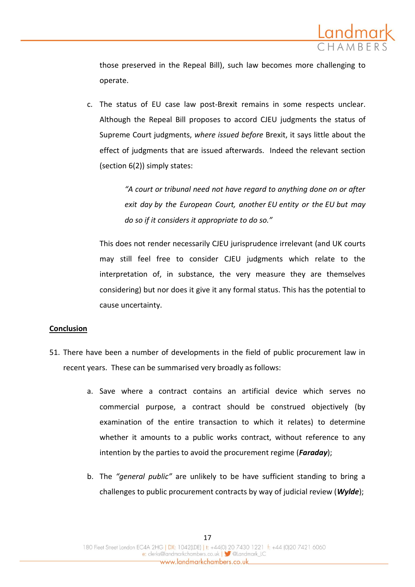

those preserved in the Repeal Bill), such law becomes more challenging to operate.

c. The status of EU case law post-Brexit remains in some respects unclear. Although the Repeal Bill proposes to accord CJEU judgments the status of Supreme Court judgments, *where issued before* Brexit, it says little about the effect of judgments that are issued afterwards. Indeed the relevant section (section 6(2)) simply states:

> *"A court or tribunal need not have regard to anything done on or after exit day by the European Court, another EU entity or the EU but may do so if it considers it appropriate to do so."*

This does not render necessarily CJEU jurisprudence irrelevant (and UK courts may still feel free to consider CJEU judgments which relate to the interpretation of, in substance, the very measure they are themselves considering) but nor does it give it any formal status. This has the potential to cause uncertainty.

### **Conclusion**

- 51. There have been a number of developments in the field of public procurement law in recent years. These can be summarised very broadly as follows:
	- a. Save where a contract contains an artificial device which serves no commercial purpose, a contract should be construed objectively (by examination of the entire transaction to which it relates) to determine whether it amounts to a public works contract, without reference to any intention by the parties to avoid the procurement regime (*Faraday*);
	- b. The *"general public"* are unlikely to be have sufficient standing to bring a challenges to public procurement contracts by way of judicial review (*Wylde*);